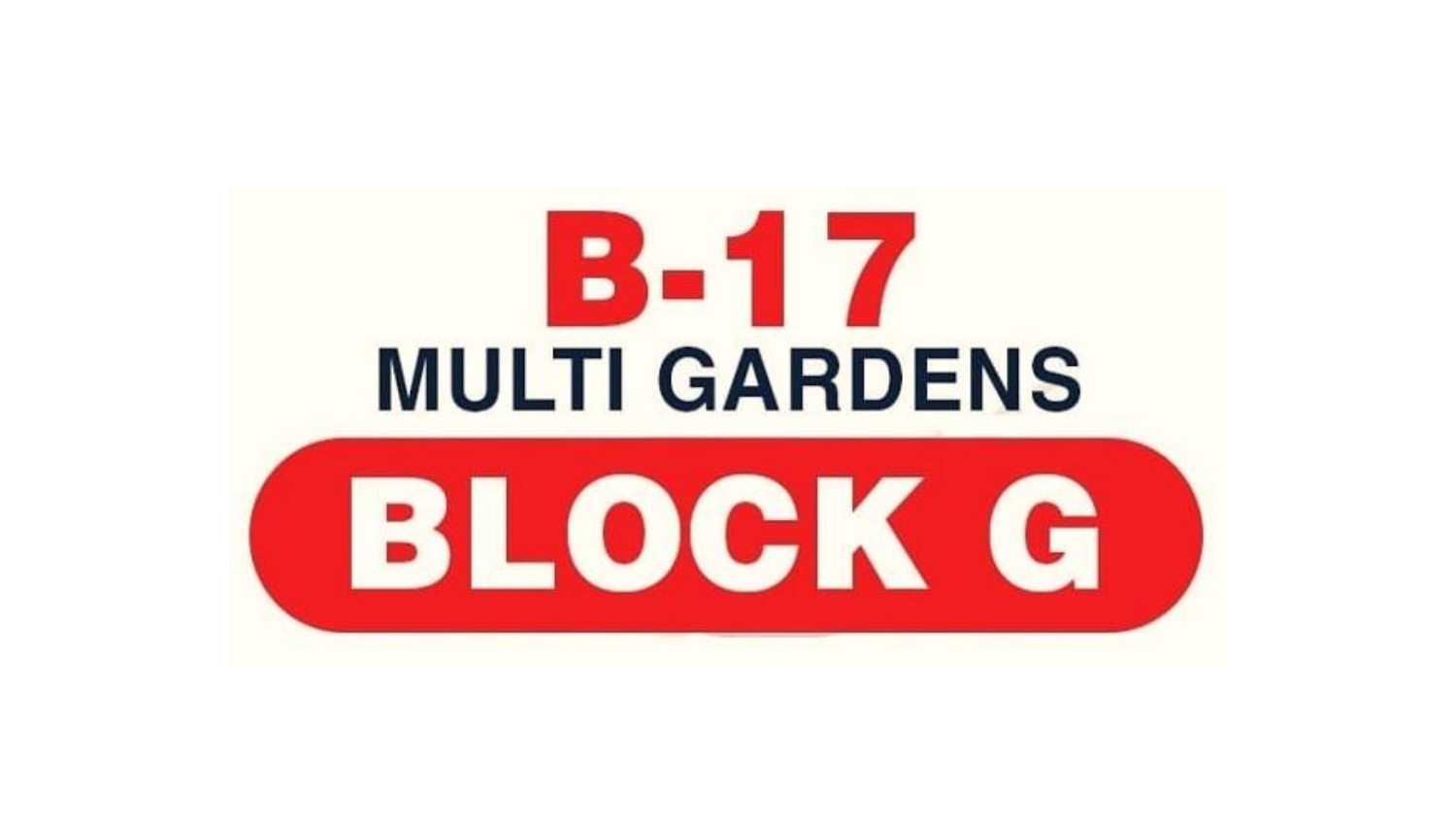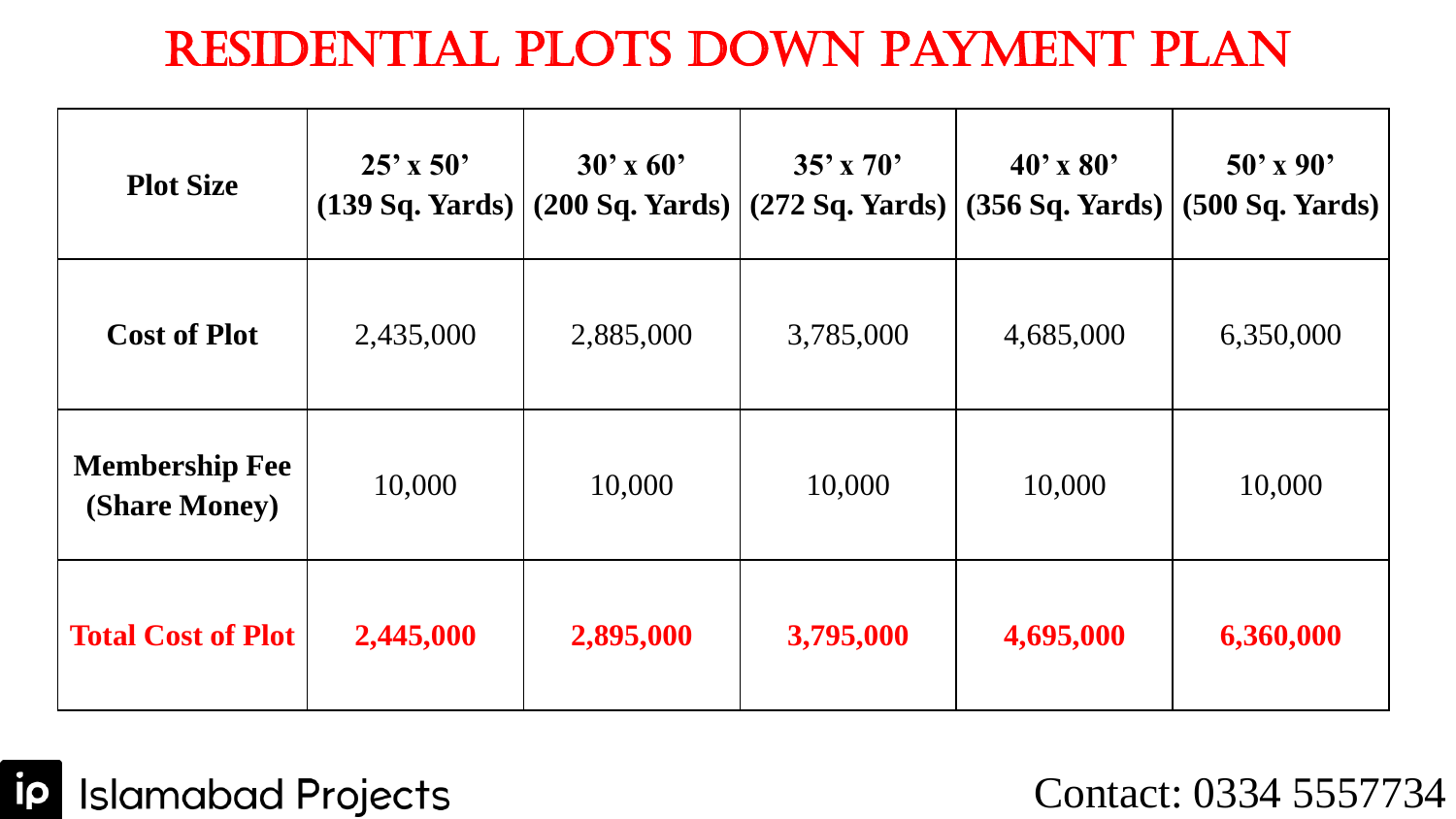## Residential Plots Down Payment Plan

| <b>Plot Size</b>                       | $25'$ x 50' | $30'$ x 60'<br>$(139 Sq. Yards)$ $(200 Sq. Yards)$ | $35'$ x 70'<br>$(272$ Sq. Yards) | $40'$ x 80'<br>(356 Sq. Yards) | $50'$ x 90'<br>(500 Sq. Yards) |
|----------------------------------------|-------------|----------------------------------------------------|----------------------------------|--------------------------------|--------------------------------|
| <b>Cost of Plot</b>                    | 2,435,000   | 2,885,000                                          | 3,785,000                        | 4,685,000                      | 6,350,000                      |
| <b>Membership Fee</b><br>(Share Money) | 10,000      | 10,000                                             | 10,000                           | 10,000                         | 10,000                         |
| <b>Total Cost of Plot</b>              | 2,445,000   | 2,895,000                                          | 3,795,000                        | 4,695,000                      | 6,360,000                      |

**ip** Islamabad Projects

Contact: 0334 5557734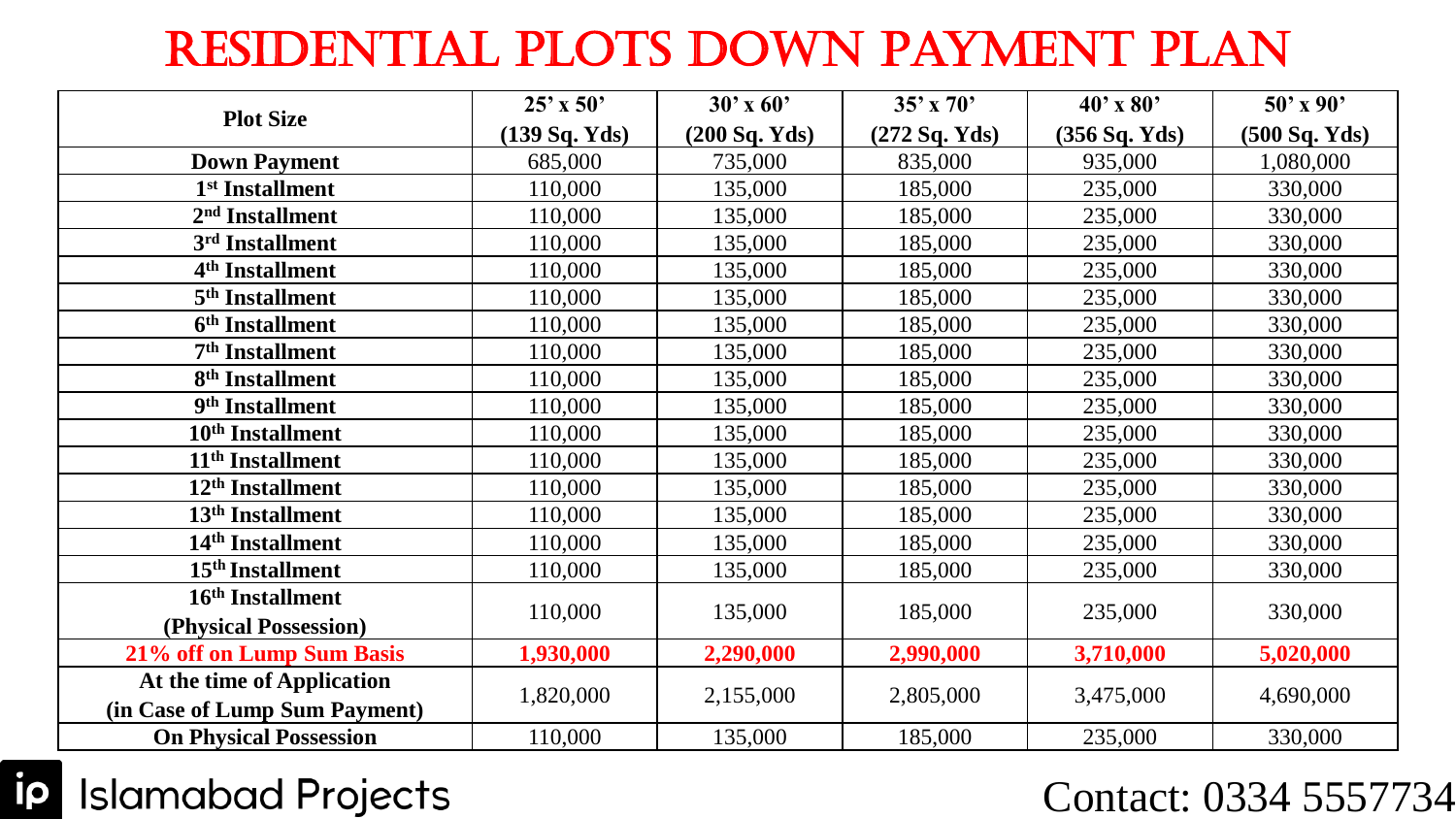## Residential Plots Down Payment Plan

|                               | $25'$ x 50'   | $30'$ x 60'   | $35'$ x 70'     | $40'$ x $80'$ | $50'$ x 90'   |
|-------------------------------|---------------|---------------|-----------------|---------------|---------------|
| <b>Plot Size</b>              | (139 Sq. Yds) | (200 Sq. Yds) | $(272$ Sq. Yds) | (356 Sq. Yds) | (500 Sq. Yds) |
| <b>Down Payment</b>           | 685,000       | 735,000       | 835,000         | 935,000       | 1,080,000     |
| 1 <sup>st</sup> Installment   | 110,000       | 135,000       | 185,000         | 235,000       | 330,000       |
| 2 <sup>nd</sup> Installment   | 110,000       | 135,000       | 185,000         | 235,000       | 330,000       |
| 3rd Installment               | 110,000       | 135,000       | 185,000         | 235,000       | 330,000       |
| 4 <sup>th</sup> Installment   | 110,000       | 135,000       | 185,000         | 235,000       | 330,000       |
| 5 <sup>th</sup> Installment   | 110,000       | 135,000       | 185,000         | 235,000       | 330,000       |
| 6 <sup>th</sup> Installment   | 110,000       | 135,000       | 185,000         | 235,000       | 330,000       |
| 7 <sup>th</sup> Installment   | 110,000       | 135,000       | 185,000         | 235,000       | 330,000       |
| 8 <sup>th</sup> Installment   | 110,000       | 135,000       | 185,000         | 235,000       | 330,000       |
| 9 <sup>th</sup> Installment   | 110,000       | 135,000       | 185,000         | 235,000       | 330,000       |
| 10 <sup>th</sup> Installment  | 110,000       | 135,000       | 185,000         | 235,000       | 330,000       |
| 11 <sup>th</sup> Installment  | 110,000       | 135,000       | 185,000         | 235,000       | 330,000       |
| 12 <sup>th</sup> Installment  | 110,000       | 135,000       | 185,000         | 235,000       | 330,000       |
| 13 <sup>th</sup> Installment  | 110,000       | 135,000       | 185,000         | 235,000       | 330,000       |
| 14 <sup>th</sup> Installment  | 110,000       | 135,000       | 185,000         | 235,000       | 330,000       |
| 15 <sup>th</sup> Installment  | 110,000       | 135,000       | 185,000         | 235,000       | 330,000       |
| 16 <sup>th</sup> Installment  | 110,000       | 135,000       | 185,000         | 235,000       | 330,000       |
| (Physical Possession)         |               |               |                 |               |               |
| 21% off on Lump Sum Basis     | 1,930,000     | 2,290,000     | 2,990,000       | 3,710,000     | 5,020,000     |
| At the time of Application    | 1,820,000     | 2,155,000     | 2,805,000       | 3,475,000     | 4,690,000     |
| (in Case of Lump Sum Payment) |               |               |                 |               |               |
| <b>On Physical Possession</b> | 110,000       | 135,000       | 185,000         | 235,000       | 330,000       |

### **ip** Islamabad Projects

#### Contact: 0334 5557734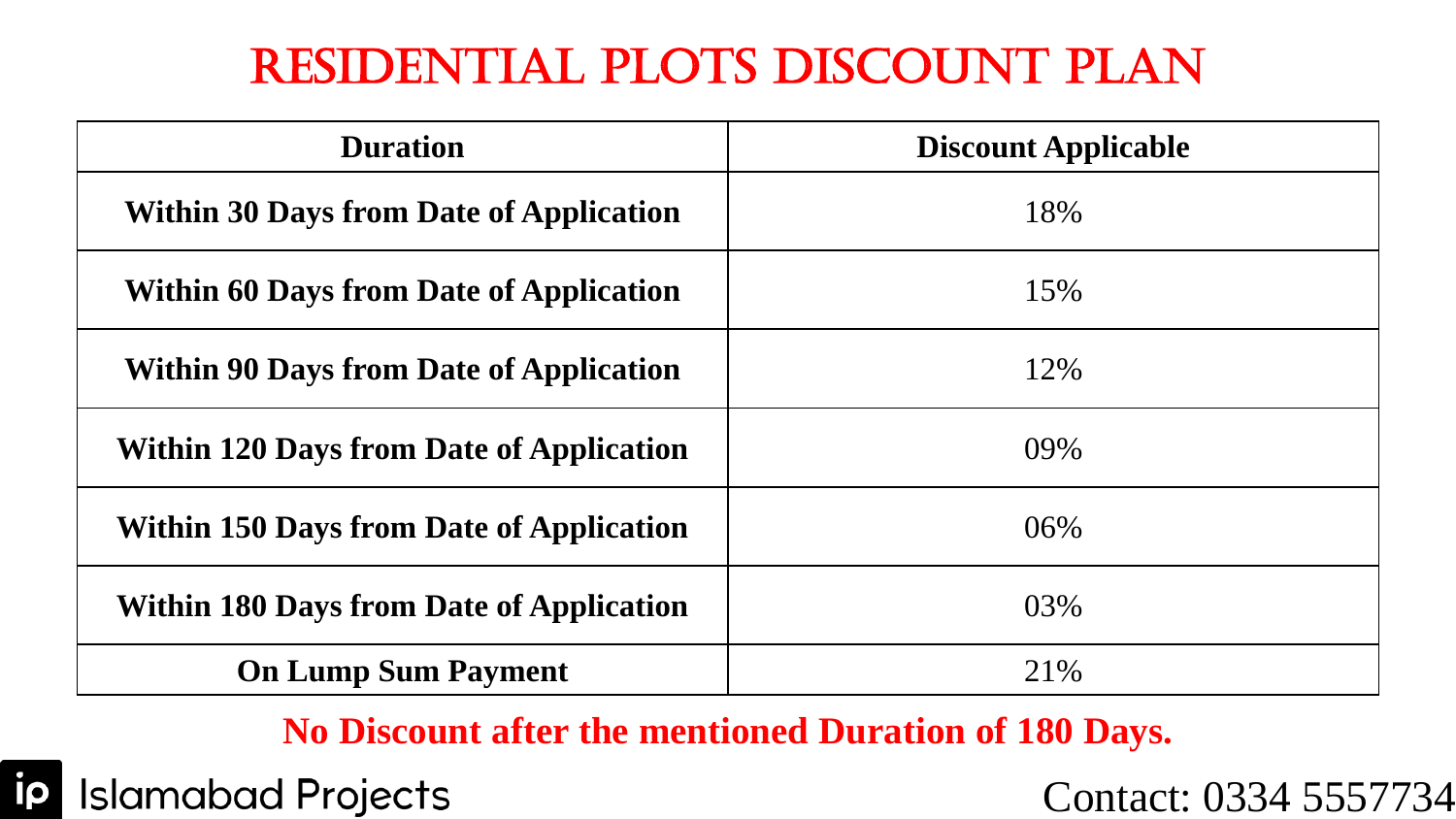## Residential Plots Discount Plan

| <b>Duration</b>                                 | <b>Discount Applicable</b> |  |  |
|-------------------------------------------------|----------------------------|--|--|
| <b>Within 30 Days from Date of Application</b>  | 18%                        |  |  |
| <b>Within 60 Days from Date of Application</b>  | 15%                        |  |  |
| <b>Within 90 Days from Date of Application</b>  | 12%                        |  |  |
| <b>Within 120 Days from Date of Application</b> | 09%                        |  |  |
| <b>Within 150 Days from Date of Application</b> | 06%                        |  |  |
| <b>Within 180 Days from Date of Application</b> | 03%                        |  |  |
| <b>On Lump Sum Payment</b>                      | 21%                        |  |  |

#### **No Discount after the mentioned Duration of 180 Days.**

ip **Islamabad Projects** 

Contact: 0334 5557734